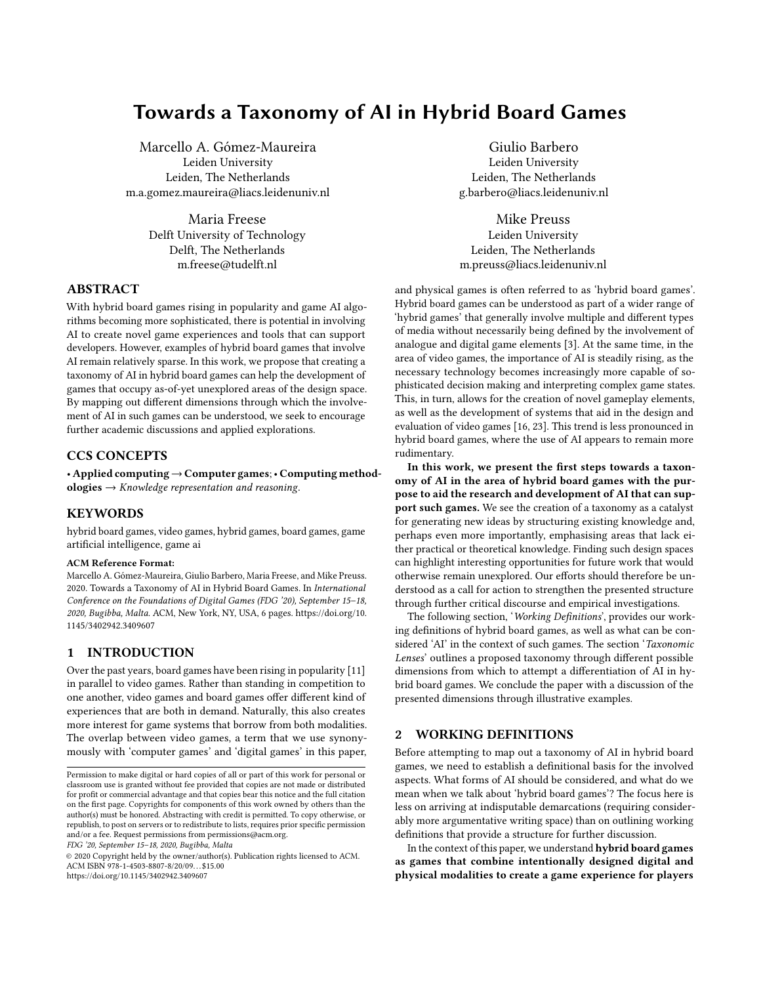# Towards a Taxonomy of AI in Hybrid Board Games

Marcello A. Gómez-Maureira Leiden University Leiden, The Netherlands m.a.gomez.maureira@liacs.leidenuniv.nl

> Maria Freese Delft University of Technology Delft, The Netherlands m.freese@tudelft.nl

# ABSTRACT

With hybrid board games rising in popularity and game AI algorithms becoming more sophisticated, there is potential in involving AI to create novel game experiences and tools that can support developers. However, examples of hybrid board games that involve AI remain relatively sparse. In this work, we propose that creating a taxonomy of AI in hybrid board games can help the development of games that occupy as-of-yet unexplored areas of the design space. By mapping out different dimensions through which the involvement of AI in such games can be understood, we seek to encourage further academic discussions and applied explorations.

# CCS CONCEPTS

• Applied computing→Computer games;• Computing methodologies  $\rightarrow$  Knowledge representation and reasoning.

# KEYWORDS

hybrid board games, video games, hybrid games, board games, game artificial intelligence, game ai

## ACM Reference Format:

Marcello A. Gómez-Maureira, Giulio Barbero, Maria Freese, and Mike Preuss. 2020. Towards a Taxonomy of AI in Hybrid Board Games. In International Conference on the Foundations of Digital Games (FDG '20), September 15–18, 2020, Bugibba, Malta. ACM, New York, NY, USA, [6](#page-5-0) pages. [https://doi.org/10.](https://doi.org/10.1145/3402942.3409607) [1145/3402942.3409607](https://doi.org/10.1145/3402942.3409607)

# 1 INTRODUCTION

Over the past years, board games have been rising in popularity [\[11\]](#page-5-1) in parallel to video games. Rather than standing in competition to one another, video games and board games offer different kind of experiences that are both in demand. Naturally, this also creates more interest for game systems that borrow from both modalities. The overlap between video games, a term that we use synonymously with 'computer games' and 'digital games' in this paper,

FDG '20, September 15–18, 2020, Bugibba, Malta

© 2020 Copyright held by the owner/author(s). Publication rights licensed to ACM. ACM ISBN 978-1-4503-8807-8/20/09. . . \$15.00 <https://doi.org/10.1145/3402942.3409607>

Giulio Barbero Leiden University Leiden, The Netherlands g.barbero@liacs.leidenuniv.nl

Mike Preuss Leiden University Leiden, The Netherlands m.preuss@liacs.leidenuniv.nl

and physical games is often referred to as 'hybrid board games'. Hybrid board games can be understood as part of a wider range of 'hybrid games' that generally involve multiple and different types of media without necessarily being defined by the involvement of analogue and digital game elements [\[3\]](#page-5-2). At the same time, in the area of video games, the importance of AI is steadily rising, as the necessary technology becomes increasingly more capable of sophisticated decision making and interpreting complex game states. This, in turn, allows for the creation of novel gameplay elements, as well as the development of systems that aid in the design and evaluation of video games [\[16,](#page-5-3) [23\]](#page-5-4). This trend is less pronounced in hybrid board games, where the use of AI appears to remain more rudimentary.

In this work, we present the first steps towards a taxonomy of AI in the area of hybrid board games with the purpose to aid the research and development of AI that can support such games. We see the creation of a taxonomy as a catalyst for generating new ideas by structuring existing knowledge and, perhaps even more importantly, emphasising areas that lack either practical or theoretical knowledge. Finding such design spaces can highlight interesting opportunities for future work that would otherwise remain unexplored. Our efforts should therefore be understood as a call for action to strengthen the presented structure through further critical discourse and empirical investigations.

The following section, '[Working Definitions](#page-0-0)', provides our working definitions of hybrid board games, as well as what can be con-sidered 'AI' in the context of such games. The section '[Taxonomic](#page-1-0) [Lenses](#page-1-0)' outlines a proposed taxonomy through different possible dimensions from which to attempt a differentiation of AI in hybrid board games. We conclude the paper with a discussion of the presented dimensions through illustrative examples.

## <span id="page-0-0"></span>2 WORKING DEFINITIONS

Before attempting to map out a taxonomy of AI in hybrid board games, we need to establish a definitional basis for the involved aspects. What forms of AI should be considered, and what do we mean when we talk about 'hybrid board games'? The focus here is less on arriving at indisputable demarcations (requiring considerably more argumentative writing space) than on outlining working definitions that provide a structure for further discussion.

In the context of this paper, we understand hybrid board games as games that combine intentionally designed digital and physical modalities to create a game experience for players

Permission to make digital or hard copies of all or part of this work for personal or classroom use is granted without fee provided that copies are not made or distributed for profit or commercial advantage and that copies bear this notice and the full citation on the first page. Copyrights for components of this work owned by others than the author(s) must be honored. Abstracting with credit is permitted. To copy otherwise, or republish, to post on servers or to redistribute to lists, requires prior specific permission and/or a fee. Request permissions from permissions@acm.org.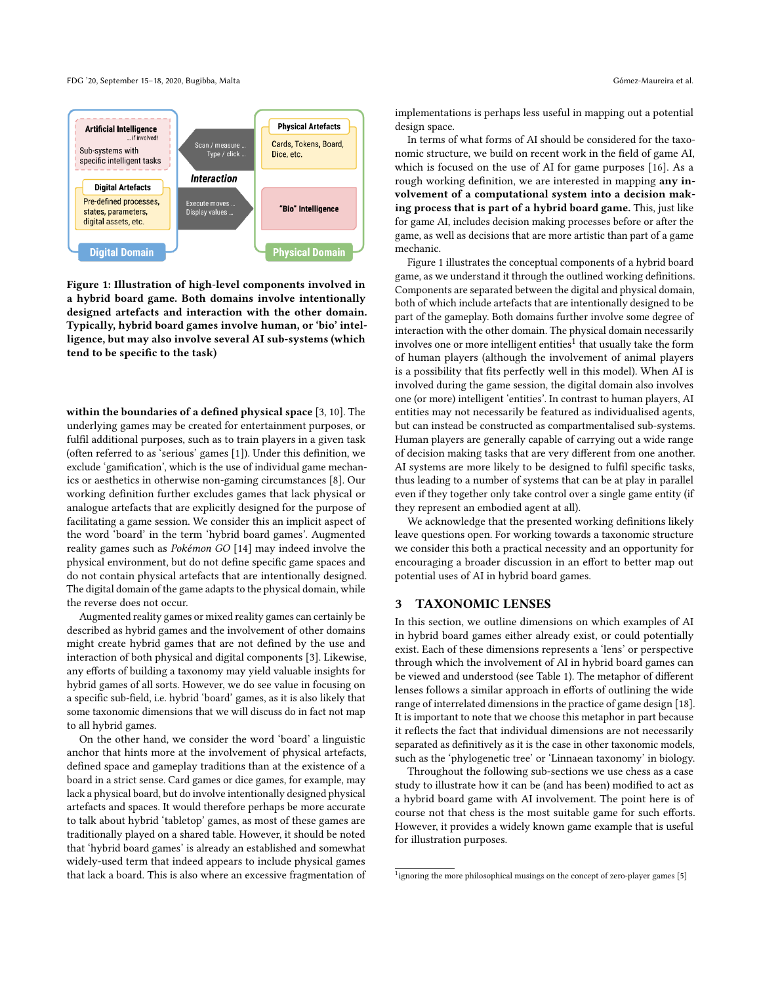FDG '20, September 15–18, 2020, Bugibba, Malta Gómez-Maureira et al.

<span id="page-1-1"></span>

Figure 1: Illustration of high-level components involved in a hybrid board game. Both domains involve intentionally designed artefacts and interaction with the other domain. Typically, hybrid board games involve human, or 'bio' intelligence, but may also involve several AI sub-systems (which tend to be specific to the task)

within the boundaries of a defined physical space [\[3,](#page-5-2) [10\]](#page-5-5). The underlying games may be created for entertainment purposes, or fulfil additional purposes, such as to train players in a given task (often referred to as 'serious' games [\[1\]](#page-5-6)). Under this definition, we exclude 'gamification', which is the use of individual game mechanics or aesthetics in otherwise non-gaming circumstances [\[8\]](#page-5-7). Our working definition further excludes games that lack physical or analogue artefacts that are explicitly designed for the purpose of facilitating a game session. We consider this an implicit aspect of the word 'board' in the term 'hybrid board games'. Augmented reality games such as Pokémon GO [\[14\]](#page-5-8) may indeed involve the physical environment, but do not define specific game spaces and do not contain physical artefacts that are intentionally designed. The digital domain of the game adapts to the physical domain, while the reverse does not occur.

Augmented reality games or mixed reality games can certainly be described as hybrid games and the involvement of other domains might create hybrid games that are not defined by the use and interaction of both physical and digital components [\[3\]](#page-5-2). Likewise, any efforts of building a taxonomy may yield valuable insights for hybrid games of all sorts. However, we do see value in focusing on a specific sub-field, i.e. hybrid 'board' games, as it is also likely that some taxonomic dimensions that we will discuss do in fact not map to all hybrid games.

On the other hand, we consider the word 'board' a linguistic anchor that hints more at the involvement of physical artefacts, defined space and gameplay traditions than at the existence of a board in a strict sense. Card games or dice games, for example, may lack a physical board, but do involve intentionally designed physical artefacts and spaces. It would therefore perhaps be more accurate to talk about hybrid 'tabletop' games, as most of these games are traditionally played on a shared table. However, it should be noted that 'hybrid board games' is already an established and somewhat widely-used term that indeed appears to include physical games that lack a board. This is also where an excessive fragmentation of

implementations is perhaps less useful in mapping out a potential design space.

In terms of what forms of AI should be considered for the taxonomic structure, we build on recent work in the field of game AI, which is focused on the use of AI for game purposes [\[16\]](#page-5-3). As a rough working definition, we are interested in mapping any involvement of a computational system into a decision making process that is part of a hybrid board game. This, just like for game AI, includes decision making processes before or after the game, as well as decisions that are more artistic than part of a game mechanic.

Figure [1](#page-1-1) illustrates the conceptual components of a hybrid board game, as we understand it through the outlined working definitions. Components are separated between the digital and physical domain, both of which include artefacts that are intentionally designed to be part of the gameplay. Both domains further involve some degree of interaction with the other domain. The physical domain necessarily involves one or more intelligent entities $^1$  $^1$  that usually take the form of human players (although the involvement of animal players is a possibility that fits perfectly well in this model). When AI is involved during the game session, the digital domain also involves one (or more) intelligent 'entities'. In contrast to human players, AI entities may not necessarily be featured as individualised agents, but can instead be constructed as compartmentalised sub-systems. Human players are generally capable of carrying out a wide range of decision making tasks that are very different from one another. AI systems are more likely to be designed to fulfil specific tasks, thus leading to a number of systems that can be at play in parallel even if they together only take control over a single game entity (if they represent an embodied agent at all).

We acknowledge that the presented working definitions likely leave questions open. For working towards a taxonomic structure we consider this both a practical necessity and an opportunity for encouraging a broader discussion in an effort to better map out potential uses of AI in hybrid board games.

# <span id="page-1-0"></span>3 TAXONOMIC LENSES

In this section, we outline dimensions on which examples of AI in hybrid board games either already exist, or could potentially exist. Each of these dimensions represents a 'lens' or perspective through which the involvement of AI in hybrid board games can be viewed and understood (see Table [1\)](#page-2-0). The metaphor of different lenses follows a similar approach in efforts of outlining the wide range of interrelated dimensions in the practice of game design [\[18\]](#page-5-9). It is important to note that we choose this metaphor in part because it reflects the fact that individual dimensions are not necessarily separated as definitively as it is the case in other taxonomic models, such as the 'phylogenetic tree' or 'Linnaean taxonomy' in biology.

Throughout the following sub-sections we use chess as a case study to illustrate how it can be (and has been) modified to act as a hybrid board game with AI involvement. The point here is of course not that chess is the most suitable game for such efforts. However, it provides a widely known game example that is useful for illustration purposes.

<span id="page-1-2"></span><sup>&</sup>lt;sup>1</sup>ignoring the more philosophical musings on the concept of zero-player games [\[5\]](#page-5-10)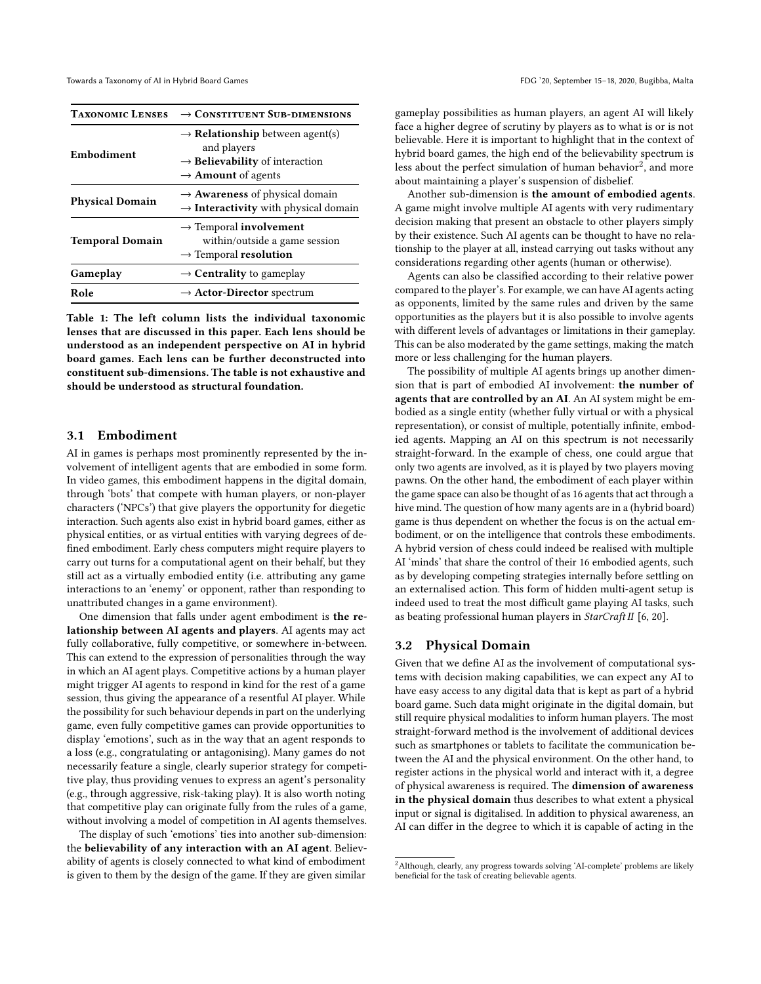<span id="page-2-0"></span>

| <b>TAXONOMIC LENSES</b> | $\rightarrow$ CONSTITUENT SUB-DIMENSIONS                                                                                                                        |
|-------------------------|-----------------------------------------------------------------------------------------------------------------------------------------------------------------|
| Embodiment              | $\rightarrow$ <b>Relationship</b> between agent(s)<br>and players<br>$\rightarrow$ <b>Believability</b> of interaction<br>$\rightarrow$ <b>Amount</b> of agents |
| <b>Physical Domain</b>  | $\rightarrow$ <b>Awareness</b> of physical domain<br>$\rightarrow$ Interactivity with physical domain                                                           |
| <b>Temporal Domain</b>  | $\rightarrow$ Temporal involvement<br>within/outside a game session<br>$\rightarrow$ Temporal resolution                                                        |
| Gameplay                | $\rightarrow$ Centrality to gameplay                                                                                                                            |
| Role                    | $\rightarrow$ Actor-Director spectrum                                                                                                                           |

Table 1: The left column lists the individual taxonomic lenses that are discussed in this paper. Each lens should be understood as an independent perspective on AI in hybrid board games. Each lens can be further deconstructed into constituent sub-dimensions. The table is not exhaustive and should be understood as structural foundation.

#### 3.1 Embodiment

AI in games is perhaps most prominently represented by the involvement of intelligent agents that are embodied in some form. In video games, this embodiment happens in the digital domain, through 'bots' that compete with human players, or non-player characters ('NPCs') that give players the opportunity for diegetic interaction. Such agents also exist in hybrid board games, either as physical entities, or as virtual entities with varying degrees of defined embodiment. Early chess computers might require players to carry out turns for a computational agent on their behalf, but they still act as a virtually embodied entity (i.e. attributing any game interactions to an 'enemy' or opponent, rather than responding to unattributed changes in a game environment).

One dimension that falls under agent embodiment is the relationship between AI agents and players. AI agents may act fully collaborative, fully competitive, or somewhere in-between. This can extend to the expression of personalities through the way in which an AI agent plays. Competitive actions by a human player might trigger AI agents to respond in kind for the rest of a game session, thus giving the appearance of a resentful AI player. While the possibility for such behaviour depends in part on the underlying game, even fully competitive games can provide opportunities to display 'emotions', such as in the way that an agent responds to a loss (e.g., congratulating or antagonising). Many games do not necessarily feature a single, clearly superior strategy for competitive play, thus providing venues to express an agent's personality (e.g., through aggressive, risk-taking play). It is also worth noting that competitive play can originate fully from the rules of a game, without involving a model of competition in AI agents themselves.

The display of such 'emotions' ties into another sub-dimension: the believability of any interaction with an AI agent. Believability of agents is closely connected to what kind of embodiment is given to them by the design of the game. If they are given similar

gameplay possibilities as human players, an agent AI will likely face a higher degree of scrutiny by players as to what is or is not believable. Here it is important to highlight that in the context of hybrid board games, the high end of the believability spectrum is less about the perfect simulation of human behavior $^2$  $^2$ , and more about maintaining a player's suspension of disbelief.

Another sub-dimension is the amount of embodied agents. A game might involve multiple AI agents with very rudimentary decision making that present an obstacle to other players simply by their existence. Such AI agents can be thought to have no relationship to the player at all, instead carrying out tasks without any considerations regarding other agents (human or otherwise).

Agents can also be classified according to their relative power compared to the player's. For example, we can have AI agents acting as opponents, limited by the same rules and driven by the same opportunities as the players but it is also possible to involve agents with different levels of advantages or limitations in their gameplay. This can be also moderated by the game settings, making the match more or less challenging for the human players.

The possibility of multiple AI agents brings up another dimension that is part of embodied AI involvement: the number of agents that are controlled by an AI. An AI system might be embodied as a single entity (whether fully virtual or with a physical representation), or consist of multiple, potentially infinite, embodied agents. Mapping an AI on this spectrum is not necessarily straight-forward. In the example of chess, one could argue that only two agents are involved, as it is played by two players moving pawns. On the other hand, the embodiment of each player within the game space can also be thought of as 16 agents that act through a hive mind. The question of how many agents are in a (hybrid board) game is thus dependent on whether the focus is on the actual embodiment, or on the intelligence that controls these embodiments. A hybrid version of chess could indeed be realised with multiple AI 'minds' that share the control of their 16 embodied agents, such as by developing competing strategies internally before settling on an externalised action. This form of hidden multi-agent setup is indeed used to treat the most difficult game playing AI tasks, such as beating professional human players in StarCraft II [\[6,](#page-5-11) [20\]](#page-5-12).

## 3.2 Physical Domain

Given that we define AI as the involvement of computational systems with decision making capabilities, we can expect any AI to have easy access to any digital data that is kept as part of a hybrid board game. Such data might originate in the digital domain, but still require physical modalities to inform human players. The most straight-forward method is the involvement of additional devices such as smartphones or tablets to facilitate the communication between the AI and the physical environment. On the other hand, to register actions in the physical world and interact with it, a degree of physical awareness is required. The dimension of awareness in the physical domain thus describes to what extent a physical input or signal is digitalised. In addition to physical awareness, an AI can differ in the degree to which it is capable of acting in the

<span id="page-2-1"></span><sup>&</sup>lt;sup>2</sup> Although, clearly, any progress towards solving 'AI-complete' problems are likely beneficial for the task of creating believable agents.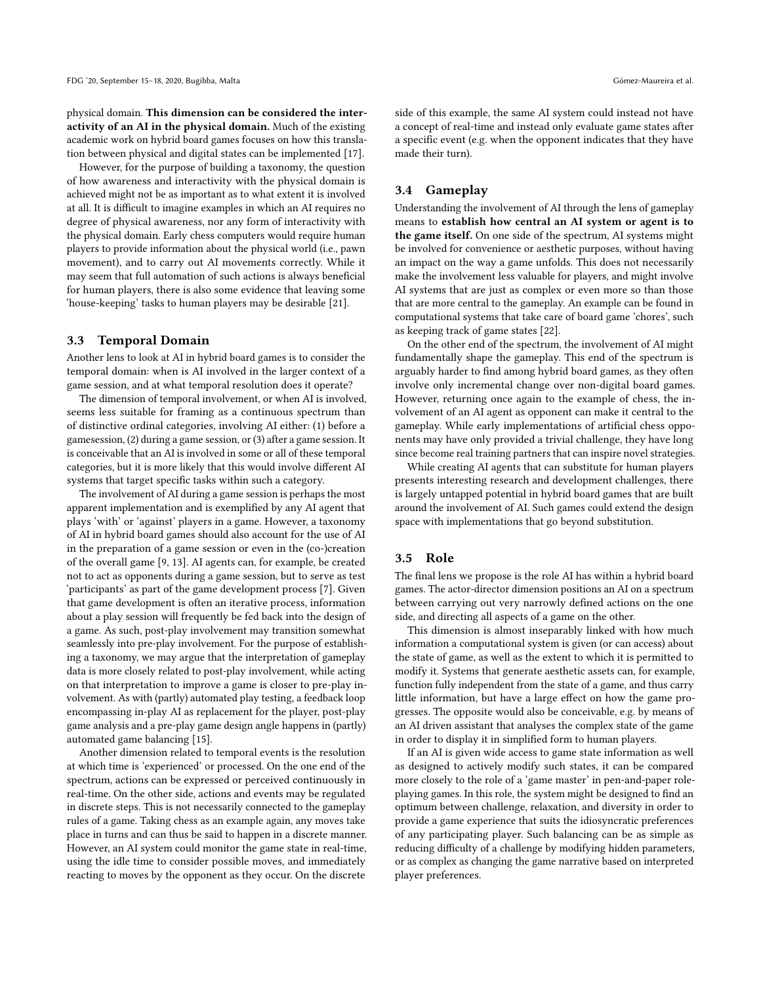physical domain. This dimension can be considered the interactivity of an AI in the physical domain. Much of the existing academic work on hybrid board games focuses on how this translation between physical and digital states can be implemented [\[17\]](#page-5-13).

However, for the purpose of building a taxonomy, the question of how awareness and interactivity with the physical domain is achieved might not be as important as to what extent it is involved at all. It is difficult to imagine examples in which an AI requires no degree of physical awareness, nor any form of interactivity with the physical domain. Early chess computers would require human players to provide information about the physical world (i.e., pawn movement), and to carry out AI movements correctly. While it may seem that full automation of such actions is always beneficial for human players, there is also some evidence that leaving some 'house-keeping' tasks to human players may be desirable [\[21\]](#page-5-14).

## 3.3 Temporal Domain

Another lens to look at AI in hybrid board games is to consider the temporal domain: when is AI involved in the larger context of a game session, and at what temporal resolution does it operate?

The dimension of temporal involvement, or when AI is involved, seems less suitable for framing as a continuous spectrum than of distinctive ordinal categories, involving AI either: (1) before a gamesession, (2) during a game session, or (3) after a game session. It is conceivable that an AI is involved in some or all of these temporal categories, but it is more likely that this would involve different AI systems that target specific tasks within such a category.

The involvement of AI during a game session is perhaps the most apparent implementation and is exemplified by any AI agent that plays 'with' or 'against' players in a game. However, a taxonomy of AI in hybrid board games should also account for the use of AI in the preparation of a game session or even in the (co-)creation of the overall game [\[9,](#page-5-15) [13\]](#page-5-16). AI agents can, for example, be created not to act as opponents during a game session, but to serve as test 'participants' as part of the game development process [\[7\]](#page-5-17). Given that game development is often an iterative process, information about a play session will frequently be fed back into the design of a game. As such, post-play involvement may transition somewhat seamlessly into pre-play involvement. For the purpose of establishing a taxonomy, we may argue that the interpretation of gameplay data is more closely related to post-play involvement, while acting on that interpretation to improve a game is closer to pre-play involvement. As with (partly) automated play testing, a feedback loop encompassing in-play AI as replacement for the player, post-play game analysis and a pre-play game design angle happens in (partly) automated game balancing [\[15\]](#page-5-18).

Another dimension related to temporal events is the resolution at which time is 'experienced' or processed. On the one end of the spectrum, actions can be expressed or perceived continuously in real-time. On the other side, actions and events may be regulated in discrete steps. This is not necessarily connected to the gameplay rules of a game. Taking chess as an example again, any moves take place in turns and can thus be said to happen in a discrete manner. However, an AI system could monitor the game state in real-time, using the idle time to consider possible moves, and immediately reacting to moves by the opponent as they occur. On the discrete

side of this example, the same AI system could instead not have a concept of real-time and instead only evaluate game states after a specific event (e.g. when the opponent indicates that they have made their turn).

# 3.4 Gameplay

Understanding the involvement of AI through the lens of gameplay means to establish how central an AI system or agent is to the game itself. On one side of the spectrum, AI systems might be involved for convenience or aesthetic purposes, without having an impact on the way a game unfolds. This does not necessarily make the involvement less valuable for players, and might involve AI systems that are just as complex or even more so than those that are more central to the gameplay. An example can be found in computational systems that take care of board game 'chores', such as keeping track of game states [\[22\]](#page-5-19).

On the other end of the spectrum, the involvement of AI might fundamentally shape the gameplay. This end of the spectrum is arguably harder to find among hybrid board games, as they often involve only incremental change over non-digital board games. However, returning once again to the example of chess, the involvement of an AI agent as opponent can make it central to the gameplay. While early implementations of artificial chess opponents may have only provided a trivial challenge, they have long since become real training partners that can inspire novel strategies.

While creating AI agents that can substitute for human players presents interesting research and development challenges, there is largely untapped potential in hybrid board games that are built around the involvement of AI. Such games could extend the design space with implementations that go beyond substitution.

# 3.5 Role

The final lens we propose is the role AI has within a hybrid board games. The actor-director dimension positions an AI on a spectrum between carrying out very narrowly defined actions on the one side, and directing all aspects of a game on the other.

This dimension is almost inseparably linked with how much information a computational system is given (or can access) about the state of game, as well as the extent to which it is permitted to modify it. Systems that generate aesthetic assets can, for example, function fully independent from the state of a game, and thus carry little information, but have a large effect on how the game progresses. The opposite would also be conceivable, e.g. by means of an AI driven assistant that analyses the complex state of the game in order to display it in simplified form to human players.

If an AI is given wide access to game state information as well as designed to actively modify such states, it can be compared more closely to the role of a 'game master' in pen-and-paper roleplaying games. In this role, the system might be designed to find an optimum between challenge, relaxation, and diversity in order to provide a game experience that suits the idiosyncratic preferences of any participating player. Such balancing can be as simple as reducing difficulty of a challenge by modifying hidden parameters, or as complex as changing the game narrative based on interpreted player preferences.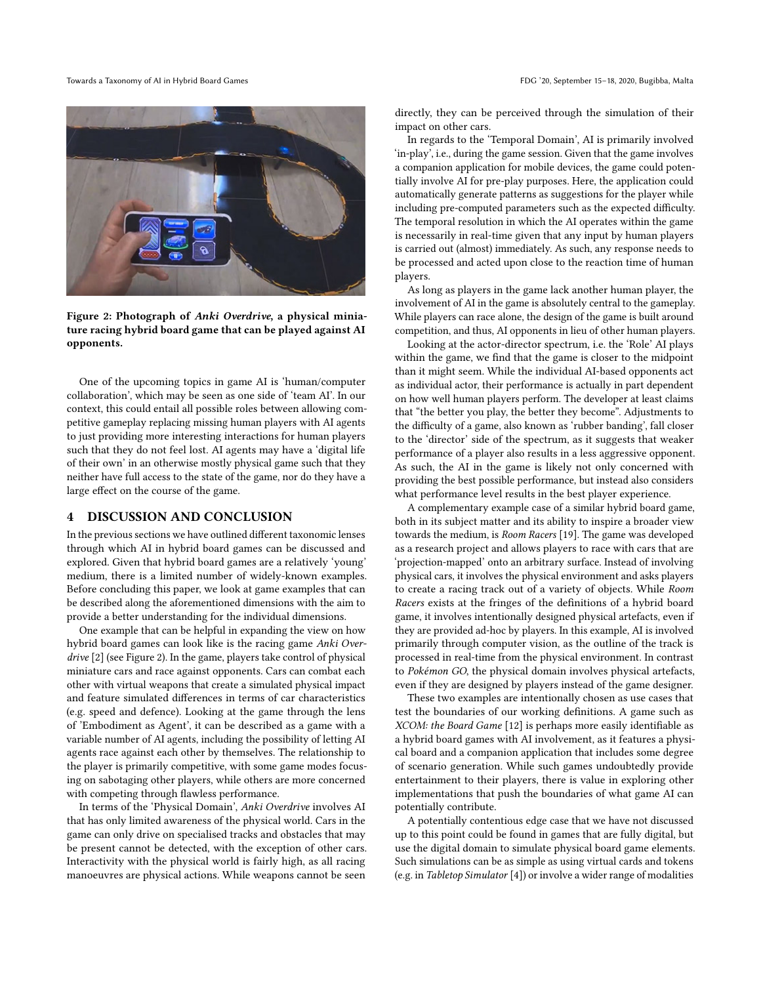Towards a Taxonomy of AI in Hybrid Board Games FDG '20, September 15–18, 2020, Bugibba, Malta

<span id="page-4-0"></span>

Figure 2: Photograph of Anki Overdrive, a physical miniature racing hybrid board game that can be played against AI opponents.

One of the upcoming topics in game AI is 'human/computer collaboration', which may be seen as one side of 'team AI'. In our context, this could entail all possible roles between allowing competitive gameplay replacing missing human players with AI agents to just providing more interesting interactions for human players such that they do not feel lost. AI agents may have a 'digital life of their own' in an otherwise mostly physical game such that they neither have full access to the state of the game, nor do they have a large effect on the course of the game.

## 4 DISCUSSION AND CONCLUSION

In the previous sections we have outlined different taxonomic lenses through which AI in hybrid board games can be discussed and explored. Given that hybrid board games are a relatively 'young' medium, there is a limited number of widely-known examples. Before concluding this paper, we look at game examples that can be described along the aforementioned dimensions with the aim to provide a better understanding for the individual dimensions.

One example that can be helpful in expanding the view on how hybrid board games can look like is the racing game Anki Overdrive [\[2\]](#page-5-20) (see Figure [2\)](#page-4-0). In the game, players take control of physical miniature cars and race against opponents. Cars can combat each other with virtual weapons that create a simulated physical impact and feature simulated differences in terms of car characteristics (e.g. speed and defence). Looking at the game through the lens of 'Embodiment as Agent', it can be described as a game with a variable number of AI agents, including the possibility of letting AI agents race against each other by themselves. The relationship to the player is primarily competitive, with some game modes focusing on sabotaging other players, while others are more concerned with competing through flawless performance.

In terms of the 'Physical Domain', Anki Overdrive involves AI that has only limited awareness of the physical world. Cars in the game can only drive on specialised tracks and obstacles that may be present cannot be detected, with the exception of other cars. Interactivity with the physical world is fairly high, as all racing manoeuvres are physical actions. While weapons cannot be seen

directly, they can be perceived through the simulation of their impact on other cars.

In regards to the 'Temporal Domain', AI is primarily involved 'in-play', i.e., during the game session. Given that the game involves a companion application for mobile devices, the game could potentially involve AI for pre-play purposes. Here, the application could automatically generate patterns as suggestions for the player while including pre-computed parameters such as the expected difficulty. The temporal resolution in which the AI operates within the game is necessarily in real-time given that any input by human players is carried out (almost) immediately. As such, any response needs to be processed and acted upon close to the reaction time of human players.

As long as players in the game lack another human player, the involvement of AI in the game is absolutely central to the gameplay. While players can race alone, the design of the game is built around competition, and thus, AI opponents in lieu of other human players.

Looking at the actor-director spectrum, i.e. the 'Role' AI plays within the game, we find that the game is closer to the midpoint than it might seem. While the individual AI-based opponents act as individual actor, their performance is actually in part dependent on how well human players perform. The developer at least claims that "the better you play, the better they become". Adjustments to the difficulty of a game, also known as 'rubber banding', fall closer to the 'director' side of the spectrum, as it suggests that weaker performance of a player also results in a less aggressive opponent. As such, the AI in the game is likely not only concerned with providing the best possible performance, but instead also considers what performance level results in the best player experience.

A complementary example case of a similar hybrid board game, both in its subject matter and its ability to inspire a broader view towards the medium, is Room Racers [\[19\]](#page-5-21). The game was developed as a research project and allows players to race with cars that are 'projection-mapped' onto an arbitrary surface. Instead of involving physical cars, it involves the physical environment and asks players to create a racing track out of a variety of objects. While Room Racers exists at the fringes of the definitions of a hybrid board game, it involves intentionally designed physical artefacts, even if they are provided ad-hoc by players. In this example, AI is involved primarily through computer vision, as the outline of the track is processed in real-time from the physical environment. In contrast to Pokémon GO, the physical domain involves physical artefacts, even if they are designed by players instead of the game designer.

These two examples are intentionally chosen as use cases that test the boundaries of our working definitions. A game such as XCOM: the Board Game [\[12\]](#page-5-22) is perhaps more easily identifiable as a hybrid board games with AI involvement, as it features a physical board and a companion application that includes some degree of scenario generation. While such games undoubtedly provide entertainment to their players, there is value in exploring other implementations that push the boundaries of what game AI can potentially contribute.

A potentially contentious edge case that we have not discussed up to this point could be found in games that are fully digital, but use the digital domain to simulate physical board game elements. Such simulations can be as simple as using virtual cards and tokens (e.g. in Tabletop Simulator [\[4\]](#page-5-23)) or involve a wider range of modalities